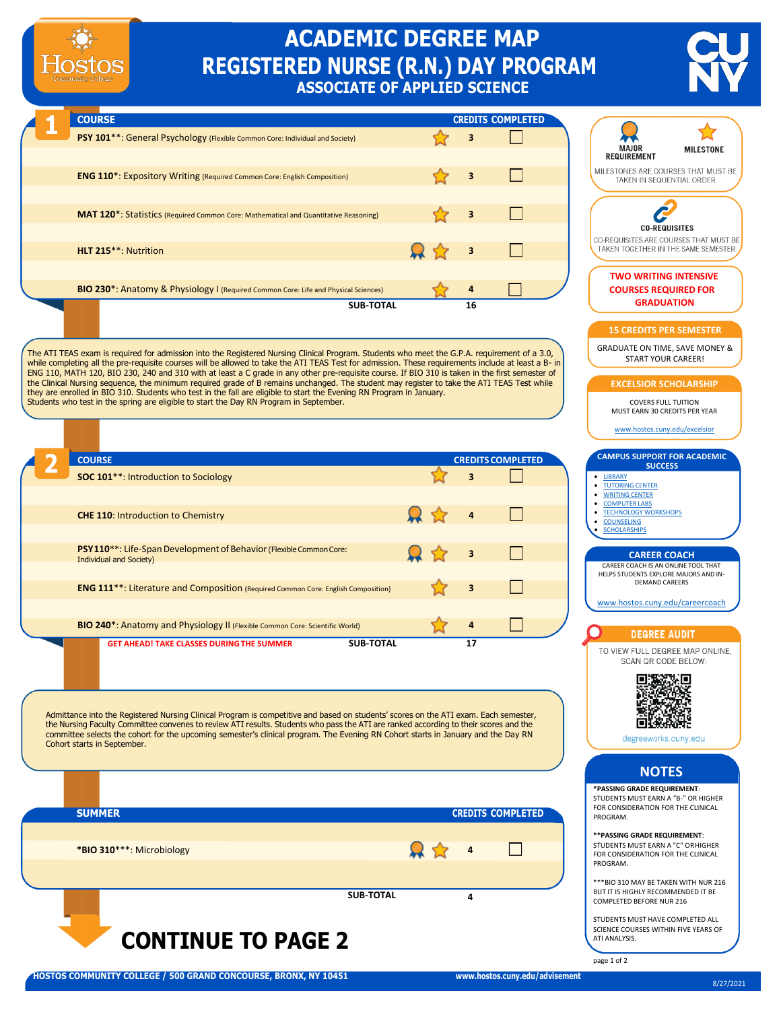## **ACADEMIC DEGREE MAP REGISTERED NURSE (R.N.) DAY PROGRAM ASSOCIATE OF APPLIED SCIENCE**